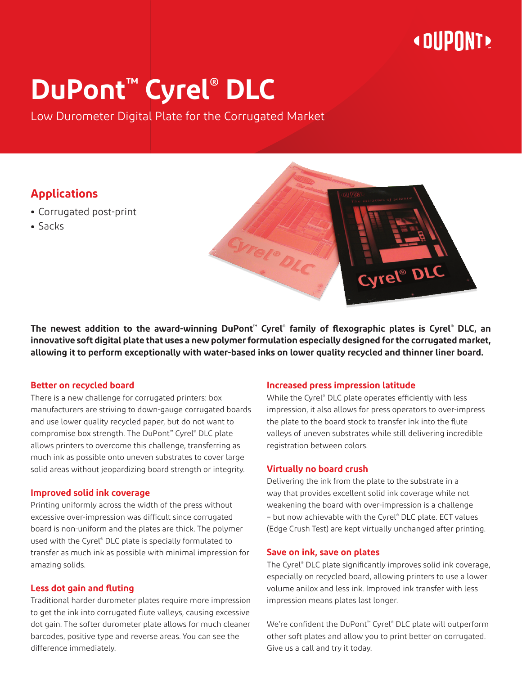## **« DUPONT »**

# **DuPont™ Cyrel® DLC**

Low Durometer Digital Plate for the Corrugated Market

### **Applications**

- **•** Corrugated post-print
- **•** Sacks



#### **Better on recycled board**

There is a new challenge for corrugated printers: box manufacturers are striving to down-gauge corrugated boards and use lower quality recycled paper, but do not want to compromise box strength. The DuPont™ Cyrel® DLC plate allows printers to overcome this challenge, transferring as much ink as possible onto uneven substrates to cover large solid areas without jeopardizing board strength or integrity.

#### **Improved solid ink coverage**

Printing uniformly across the width of the press without excessive over-impression was difficult since corrugated board is non-uniform and the plates are thick. The polymer used with the Cyrel® DLC plate is specially formulated to transfer as much ink as possible with minimal impression for amazing solids.

#### **Less dot gain and fluting**

Traditional harder durometer plates require more impression to get the ink into corrugated flute valleys, causing excessive dot gain. The softer durometer plate allows for much cleaner barcodes, positive type and reverse areas. You can see the difference immediately.

#### **Increased press impression latitude**

While the Cyrel® DLC plate operates efficiently with less impression, it also allows for press operators to over-impress the plate to the board stock to transfer ink into the flute valleys of uneven substrates while still delivering incredible registration between colors.

Cyrel<sup>®</sup> DLC

#### **Virtually no board crush**

Delivering the ink from the plate to the substrate in a way that provides excellent solid ink coverage while not weakening the board with over-impression is a challenge – but now achievable with the Cyrel® DLC plate. ECT values (Edge Crush Test) are kept virtually unchanged after printing.

#### **Save on ink, save on plates**

The Cyrel® DLC plate significantly improves solid ink coverage, especially on recycled board, allowing printers to use a lower volume anilox and less ink. Improved ink transfer with less impression means plates last longer.

We're confident the DuPont™ Cyrel® DLC plate will outperform other soft plates and allow you to print better on corrugated. Give us a call and try it today.